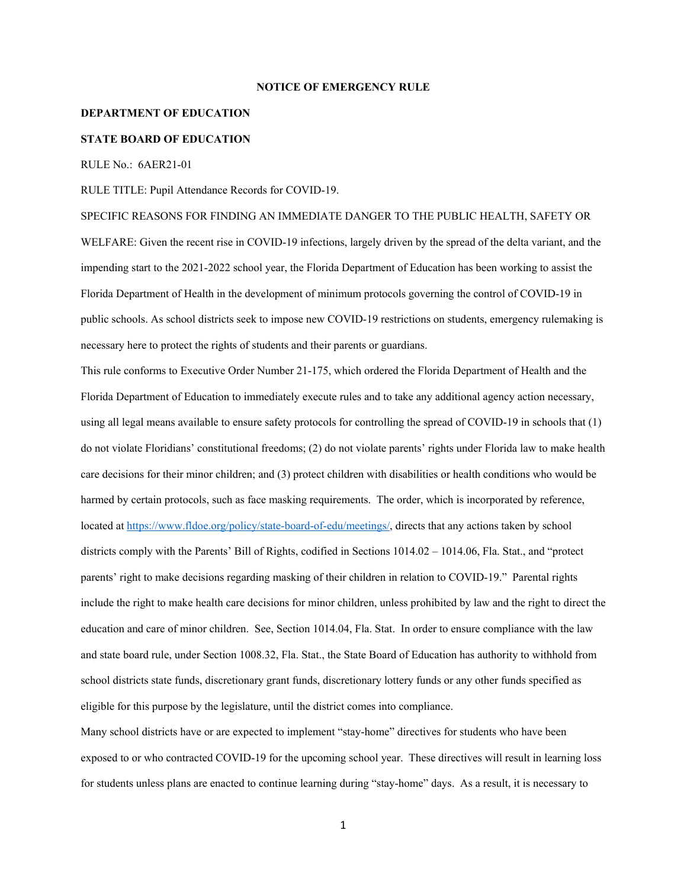## **NOTICE OF EMERGENCY RULE**

## **DEPARTMENT OF EDUCATION**

## **STATE BOARD OF EDUCATION**

RULE No.: 6AER21-01

RULE TITLE: Pupil Attendance Records for COVID-19.

SPECIFIC REASONS FOR FINDING AN IMMEDIATE DANGER TO THE PUBLIC HEALTH, SAFETY OR WELFARE: Given the recent rise in COVID-19 infections, largely driven by the spread of the delta variant, and the impending start to the 2021-2022 school year, the Florida Department of Education has been working to assist the Florida Department of Health in the development of minimum protocols governing the control of COVID-19 in public schools. As school districts seek to impose new COVID-19 restrictions on students, emergency rulemaking is necessary here to protect the rights of students and their parents or guardians.

This rule conforms to Executive Order Number 21-175, which ordered the Florida Department of Health and the Florida Department of Education to immediately execute rules and to take any additional agency action necessary, using all legal means available to ensure safety protocols for controlling the spread of COVID-19 in schools that (1) do not violate Floridians' constitutional freedoms; (2) do not violate parents' rights under Florida law to make health care decisions for their minor children; and (3) protect children with disabilities or health conditions who would be harmed by certain protocols, such as face masking requirements. The order, which is incorporated by reference, located at https://www.fldoe.org/policy/state-board-of-edu/meetings/, directs that any actions taken by school districts comply with the Parents' Bill of Rights, codified in Sections 1014.02 – 1014.06, Fla. Stat., and "protect parents' right to make decisions regarding masking of their children in relation to COVID-19." Parental rights include the right to make health care decisions for minor children, unless prohibited by law and the right to direct the education and care of minor children. See, Section 1014.04, Fla. Stat. In order to ensure compliance with the law and state board rule, under Section 1008.32, Fla. Stat., the State Board of Education has authority to withhold from school districts state funds, discretionary grant funds, discretionary lottery funds or any other funds specified as eligible for this purpose by the legislature, until the district comes into compliance.

Many school districts have or are expected to implement "stay-home" directives for students who have been exposed to or who contracted COVID-19 for the upcoming school year. These directives will result in learning loss for students unless plans are enacted to continue learning during "stay-home" days. As a result, it is necessary to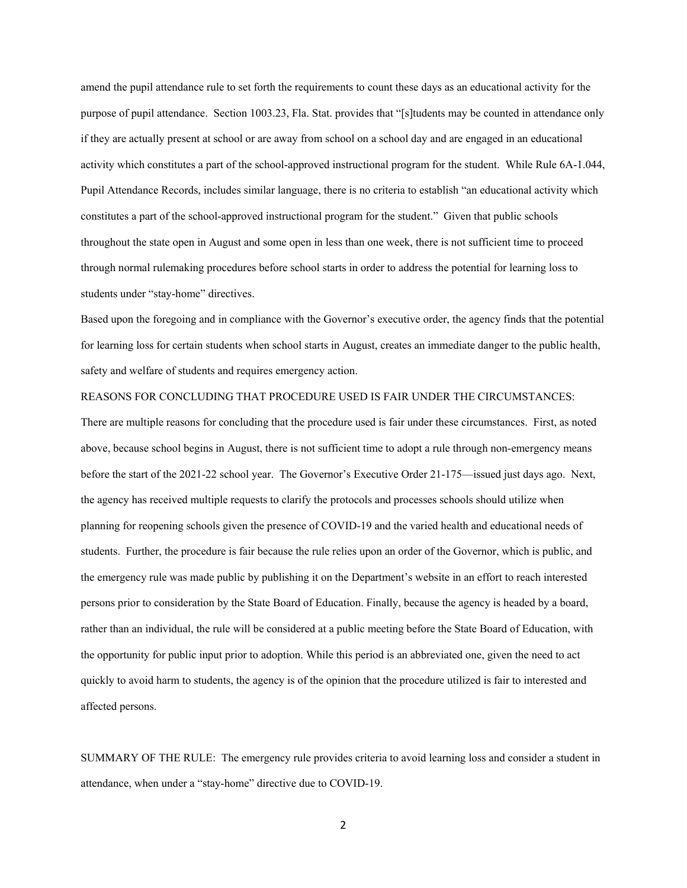amend the pupil attendance rule to set forth the requirements to count these days as an educational activity for the purpose of pupil attendance. Section 1003.23, Fla. Stat. provides that "[s]tudents may be counted in attendance only if they are actually present at school or are away from school on a school day and are engaged in an educational activity which constitutes a part of the school-approved instructional program for the student. While Rule 6A-1.044, Pupil Attendance Records, includes similar language, there is no criteria to establish "an educational activity which constitutes a part of the school-approved instructional program for the student." Given that public schools throughout the state open in August and some open in less than one week, there is not sufficient time to proceed through normal rulemaking procedures before school starts in order to address the potential for learning loss to students under "stay-home" directives.

Based upon the foregoing and in compliance with the Governor's executive order, the agency finds that the potential for learning loss for certain students when school starts in August, creates an immediate danger to the public health, safety and welfare of students and requires emergency action.

## REASONS FOR CONCLUDING THAT PROCEDURE USED IS FAIR UNDER THE CIRCUMSTANCES:

There are multiple reasons for concluding that the procedure used is fair under these circumstances. First, as noted above, because school begins in August, there is not sufficient time to adopt a rule through non-emergency means before the start of the 2021-22 school year. The Governor's Executive Order 21-175—issued just days ago. Next, the agency has received multiple requests to clarify the protocols and processes schools should utilize when planning for reopening schools given the presence of COVID-19 and the varied health and educational needs of students. Further, the procedure is fair because the rule relies upon an order of the Governor, which is public, and the emergency rule was made public by publishing it on the Department's website in an effort to reach interested persons prior to consideration by the State Board of Education. Finally, because the agency is headed by a board, rather than an individual, the rule will be considered at a public meeting before the State Board of Education, with the opportunity for public input prior to adoption. While this period is an abbreviated one, given the need to act quickly to avoid harm to students, the agency is of the opinion that the procedure utilized is fair to interested and affected persons.

SUMMARY OF THE RULE: The emergency rule provides criteria to avoid learning loss and consider a student in attendance, when under a "stay-home" directive due to COVID-19.